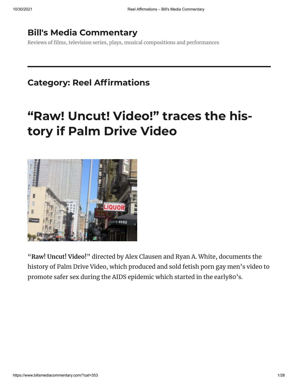### **Bill's Media [Commentary](https://www.billsmediacommentary.com/)**

Reviews of films, television series, plays, musical compositions and performances

## **Category: Reel Affirmations**

# **"Raw! Uncut! [Video!"](https://www.billsmediacommentary.com/?p=13402) traces the history if Palm Drive Video**



"**Raw! Uncut! Video!**" directed by Alex Clausen and Ryan A. White, documents the history of Palm Drive Video, which produced and sold fetish porn gay men's video to promote safer sex during the AIDS epidemic which started in the early80's.